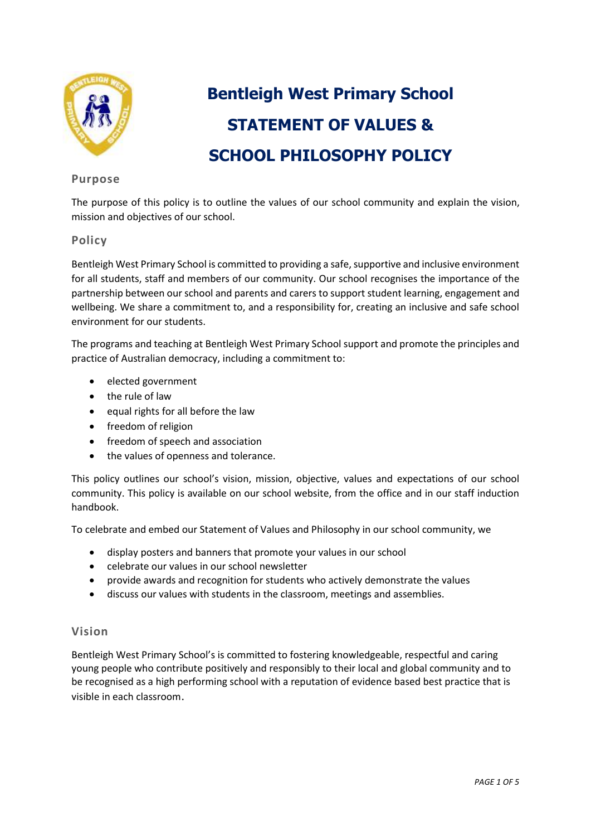

# **Bentleigh West Primary School STATEMENT OF VALUES & SCHOOL PHILOSOPHY POLICY**

# **Purpose**

The purpose of this policy is to outline the values of our school community and explain the vision, mission and objectives of our school.

# **Policy**

Bentleigh West Primary School is committed to providing a safe, supportive and inclusive environment for all students, staff and members of our community. Our school recognises the importance of the partnership between our school and parents and carers to support student learning, engagement and wellbeing. We share a commitment to, and a responsibility for, creating an inclusive and safe school environment for our students.

The programs and teaching at Bentleigh West Primary School support and promote the principles and practice of Australian democracy, including a commitment to:

- elected government
- the rule of law
- $\bullet$  equal rights for all before the law
- freedom of religion
- freedom of speech and association
- the values of openness and tolerance.

This policy outlines our school's vision, mission, objective, values and expectations of our school community. This policy is available on our school website, from the office and in our staff induction handbook.

To celebrate and embed our Statement of Values and Philosophy in our school community, we

- display posters and banners that promote your values in our school
- celebrate our values in our school newsletter
- provide awards and recognition for students who actively demonstrate the values
- discuss our values with students in the classroom, meetings and assemblies.

### **Vision**

Bentleigh West Primary School's is committed to fostering knowledgeable, respectful and caring young people who contribute positively and responsibly to their local and global community and to be recognised as a high performing school with a reputation of evidence based best practice that is visible in each classroom.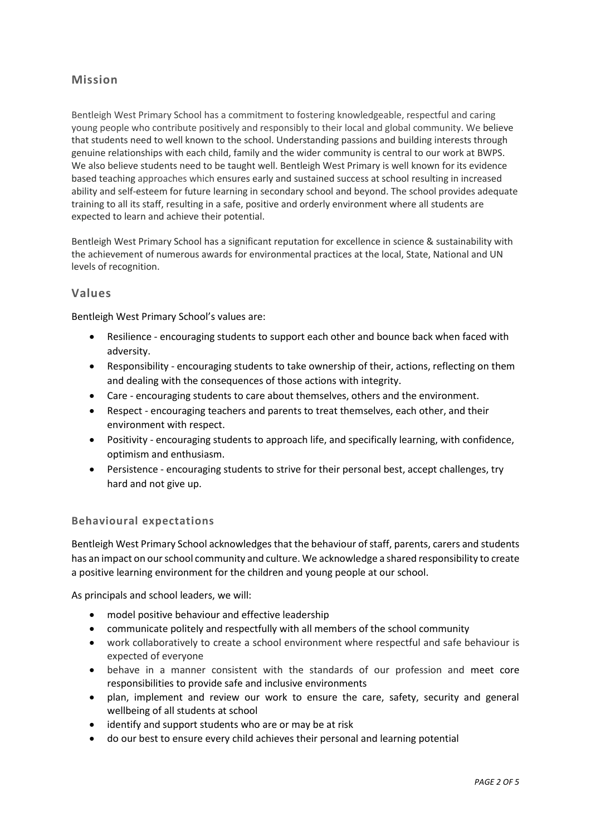# **Mission**

Bentleigh West Primary School has a commitment to fostering knowledgeable, respectful and caring young people who contribute positively and responsibly to their local and global community. We believe that students need to well known to the school. Understanding passions and building interests through genuine relationships with each child, family and the wider community is central to our work at BWPS. We also believe students need to be taught well. Bentleigh West Primary is well known for its evidence based teaching approaches which ensures early and sustained success at school resulting in increased ability and self-esteem for future learning in secondary school and beyond. The school provides adequate training to all its staff, resulting in a safe, positive and orderly environment where all students are expected to learn and achieve their potential.

Bentleigh West Primary School has a significant reputation for excellence in science & sustainability with the achievement of numerous awards for environmental practices at the local, State, National and UN levels of recognition.

## **Values**

Bentleigh West Primary School's values are:

- Resilience encouraging students to support each other and bounce back when faced with adversity.
- Responsibility encouraging students to take ownership of their, actions, reflecting on them and dealing with the consequences of those actions with integrity.
- Care encouraging students to care about themselves, others and the environment.
- Respect encouraging teachers and parents to treat themselves, each other, and their environment with respect.
- Positivity encouraging students to approach life, and specifically learning, with confidence, optimism and enthusiasm.
- Persistence encouraging students to strive for their personal best, accept challenges, try hard and not give up.

### **Behavioural expectations**

Bentleigh West Primary School acknowledges that the behaviour of staff, parents, carers and students has an impact on our school community and culture. We acknowledge a shared responsibility to create a positive learning environment for the children and young people at our school.

As principals and school leaders, we will:

- model positive behaviour and effective leadership
- communicate politely and respectfully with all members of the school community
- work collaboratively to create a school environment where respectful and safe behaviour is expected of everyone
- behave in a manner consistent with the standards of our profession and meet core responsibilities to provide safe and inclusive environments
- plan, implement and review our work to ensure the care, safety, security and general wellbeing of all students at school
- identify and support students who are or may be at risk
- do our best to ensure every child achieves their personal and learning potential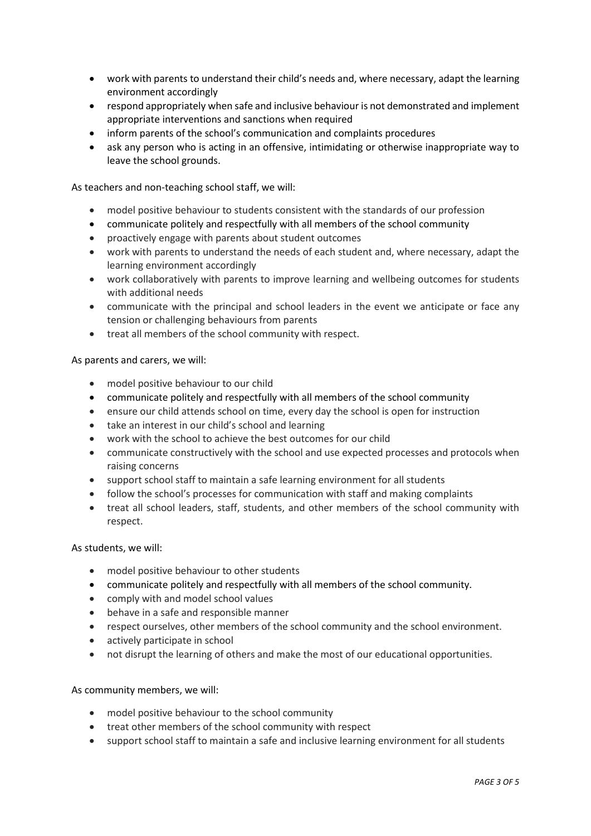- work with parents to understand their child's needs and, where necessary, adapt the learning environment accordingly
- respond appropriately when safe and inclusive behaviour is not demonstrated and implement appropriate interventions and sanctions when required
- inform parents of the school's communication and complaints procedures
- ask any person who is acting in an offensive, intimidating or otherwise inappropriate way to leave the school grounds.

As teachers and non-teaching school staff, we will:

- model positive behaviour to students consistent with the standards of our profession
- communicate politely and respectfully with all members of the school community
- proactively engage with parents about student outcomes
- work with parents to understand the needs of each student and, where necessary, adapt the learning environment accordingly
- work collaboratively with parents to improve learning and wellbeing outcomes for students with additional needs
- communicate with the principal and school leaders in the event we anticipate or face any tension or challenging behaviours from parents
- treat all members of the school community with respect.

As parents and carers, we will:

- model positive behaviour to our child
- communicate politely and respectfully with all members of the school community
- ensure our child attends school on time, every day the school is open for instruction
- take an interest in our child's school and learning
- work with the school to achieve the best outcomes for our child
- communicate constructively with the school and use expected processes and protocols when raising concerns
- support school staff to maintain a safe learning environment for all students
- follow the school's processes for communication with staff and making complaints
- treat all school leaders, staff, students, and other members of the school community with respect.

As students, we will:

- model positive behaviour to other students
- communicate politely and respectfully with all members of the school community.
- comply with and model school values
- behave in a safe and responsible manner
- respect ourselves, other members of the school community and the school environment.
- actively participate in school
- not disrupt the learning of others and make the most of our educational opportunities.

As community members, we will:

- model positive behaviour to the school community
- treat other members of the school community with respect
- support school staff to maintain a safe and inclusive learning environment for all students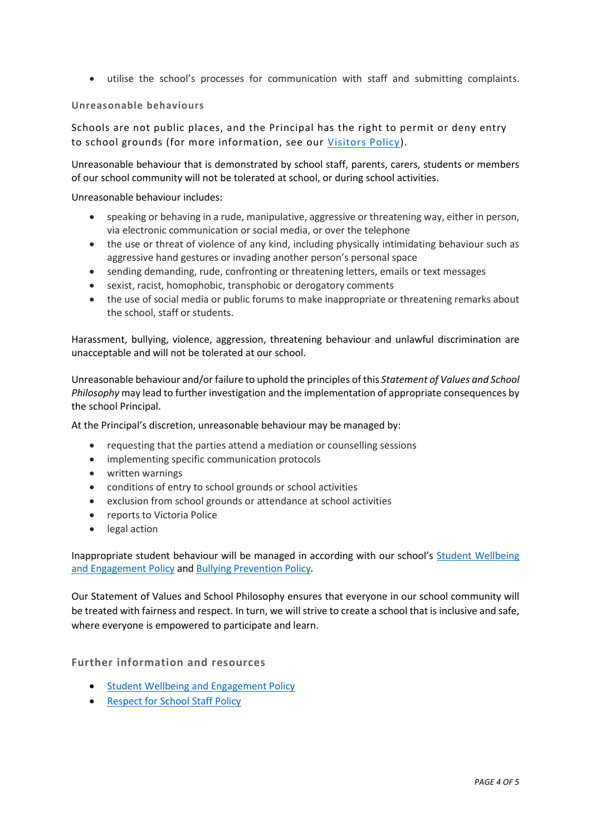utilise the school's processes for communication with staff and submitting complaints.

#### **Unreasonable behaviours**

Schools are not public places, and the Principal has the right to permit or deny entry to school grounds (for more information, see our [Visitors Policy\)](https://www.bentleighwestps.vic.edu.au/our-policies).

Unreasonable behaviour that is demonstrated by school staff, parents, carers, students or members of our school community will not be tolerated at school, or during school activities.

Unreasonable behaviour includes:

- speaking or behaving in a rude, manipulative, aggressive or threatening way, either in person, via electronic communication or social media, or over the telephone
- the use or threat of violence of any kind, including physically intimidating behaviour such as aggressive hand gestures or invading another person's personal space
- sending demanding, rude, confronting or threatening letters, emails or text messages
- sexist, racist, homophobic, transphobic or derogatory comments
- the use of social media or public forums to make inappropriate or threatening remarks about the school, staff or students.

Harassment, bullying, violence, aggression, threatening behaviour and unlawful discrimination are unacceptable and will not be tolerated at our school.

Unreasonable behaviour and/or failure to uphold the principles of this *Statement of Values and School Philosophy* may lead to further investigation and the implementation of appropriate consequences by the school Principal.

At the Principal's discretion, unreasonable behaviour may be managed by:

- requesting that the parties attend a mediation or counselling sessions
- implementing specific communication protocols
- written warnings
- conditions of entry to school grounds or school activities
- exclusion from school grounds or attendance at school activities
- reports to Victoria Police
- legal action

Inappropriate student behaviour will be managed in according with our school's [Student Wellbeing](https://www.bentleighwestps.vic.edu.au/our-policies)  [and Engagement Policy](https://www.bentleighwestps.vic.edu.au/our-policies) an[d Bullying Prevention Policy](https://www.bentleighwestps.vic.edu.au/our-policies)*.*

Our Statement of Values and School Philosophy ensures that everyone in our school community will be treated with fairness and respect. In turn, we will strive to create a school that is inclusive and safe, where everyone is empowered to participate and learn.

### **Further information and resources**

- **•** [Student Wellbeing and Engagement Policy](https://www.bentleighwestps.vic.edu.au/our-policies)
- [Respect for School Staff](https://www.bentleighwestps.vic.edu.au/our-policies) Policy